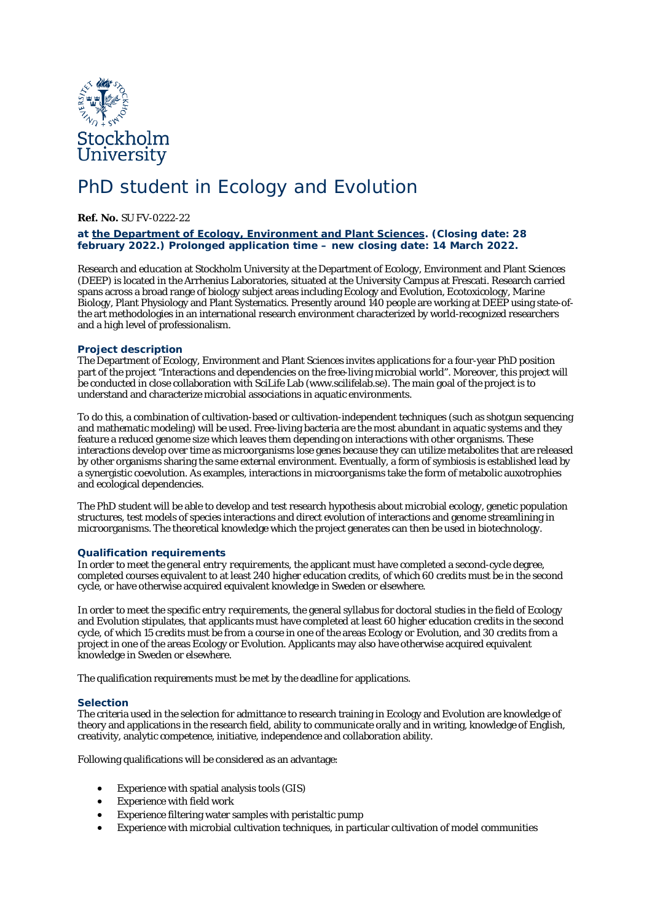

# PhD student in Ecology and Evolution

**Ref. No.** SU FV-0222-22

# **at [the Department of Ecology, Environment and Plant Sciences.](http://www.su.se/emb/english/) (Closing date: 28 february 2022.) Prolonged application time – new closing date: 14 March 2022.**

Research and education at Stockholm University at the Department of Ecology, Environment and Plant Sciences (DEEP) is located in the Arrhenius Laboratories, situated at the University Campus at Frescati. Research carried spans across a broad range of biology subject areas including Ecology and Evolution, Ecotoxicology, Marine Biology, Plant Physiology and Plant Systematics. Presently around 140 people are working at DEEP using state-ofthe art methodologies in an international research environment characterized by world-recognized researchers and a high level of professionalism.

# **Project description**

The Department of Ecology, Environment and Plant Sciences invites applications for a four-year PhD position part of the project "Interactions and dependencies on the free-living microbial world". Moreover, this project will be conducted in close collaboration with SciLife Lab (www.scilifelab.se). The main goal of the project is to understand and characterize microbial associations in aquatic environments.

To do this, a combination of cultivation-based or cultivation-independent techniques (such as shotgun sequencing and mathematic modeling) will be used. Free-living bacteria are the most abundant in aquatic systems and they feature a reduced genome size which leaves them depending on interactions with other organisms. These interactions develop over time as microorganisms lose genes because they can utilize metabolites that are released by other organisms sharing the same external environment. Eventually, a form of symbiosis is established lead by a synergistic coevolution. As examples, interactions in microorganisms take the form of metabolic auxotrophies and ecological dependencies.

The PhD student will be able to develop and test research hypothesis about microbial ecology, genetic population structures, test models of species interactions and direct evolution of interactions and genome streamlining in microorganisms. The theoretical knowledge which the project generates can then be used in biotechnology.

# **Qualification requirements**

In order to meet *the general entry requirements*, the applicant must have completed a second-cycle degree, completed courses equivalent to at least 240 higher education credits, of which 60 credits must be in the second cycle, or have otherwise acquired equivalent knowledge in Sweden or elsewhere.

In order to meet *the specific entry requirements*, the general syllabus for doctoral studies in the field of Ecology and Evolution stipulates, that applicants must have completed at least 60 higher education credits in the second cycle, of which 15 credits must be from a course in one of the areas Ecology or Evolution, and 30 credits from a project in one of the areas Ecology or Evolution. Applicants may also have otherwise acquired equivalent knowledge in Sweden or elsewhere.

The qualification requirements must be met by the deadline for applications.

#### **Selection**

The criteria used in the selection for admittance to research training in Ecology and Evolution are knowledge of theory and applications in the research field, ability to communicate orally and in writing, knowledge of English, creativity, analytic competence, initiative, independence and collaboration ability.

Following qualifications will be considered as an advantage:

- Experience with spatial analysis tools (GIS)
- Experience with field work
- Experience filtering water samples with peristaltic pump
- Experience with microbial cultivation techniques, in particular cultivation of model communities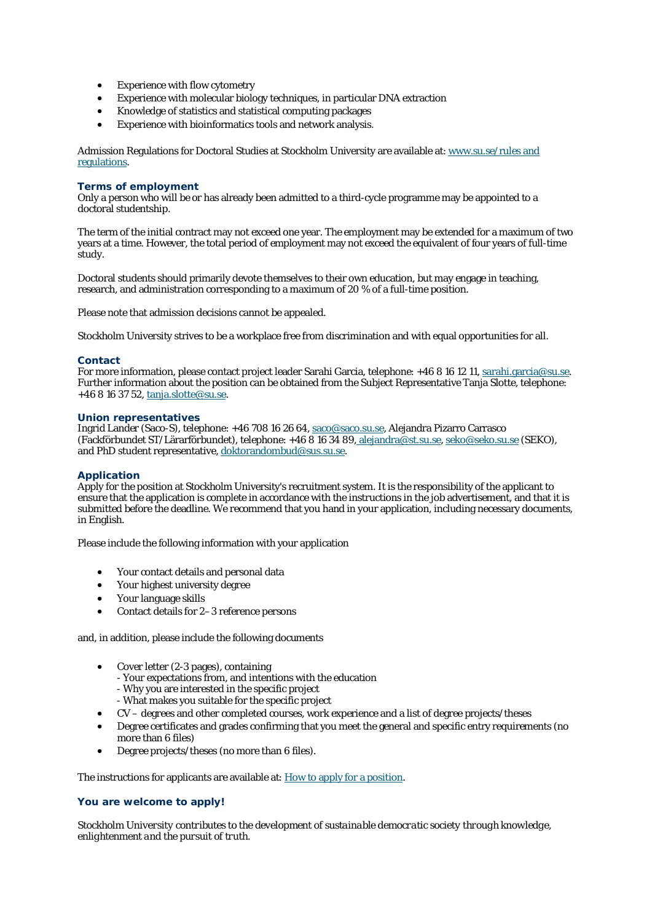- Experience with flow cytometry
- Experience with molecular biology techniques, in particular DNA extraction
- Knowledge of statistics and statistical computing packages
- Experience with bioinformatics tools and network analysis.

Admission Regulations for Doctoral Studies at Stockholm University are available at: [www.su.se/rules and](https://www.su.se/english/staff/organisation-governance/governing-documents-rules-and-regulations/education/admission-regulations-for-doctoral-studies-at-stockholm-university-1.270190)  [regulations.](https://www.su.se/english/staff/organisation-governance/governing-documents-rules-and-regulations/education/admission-regulations-for-doctoral-studies-at-stockholm-university-1.270190)

#### **Terms of employment**

Only a person who will be or has already been admitted to a third-cycle programme may be appointed to a doctoral studentship.

The term of the initial contract may not exceed one year. The employment may be extended for a maximum of two years at a time. However, the total period of employment may not exceed the equivalent of four years of full-time study.

Doctoral students should primarily devote themselves to their own education, but may engage in teaching, research, and administration corresponding to a maximum of 20 % of a full-time position.

Please note that admission decisions cannot be appealed.

Stockholm University strives to be a workplace free from discrimination and with equal opportunities for all.

#### **Contact**

For more information, please contact project leader Sarahi Garcia, telephone: +46 8 16 12 11, [sarahi.garcia@su.se.](mailto:sarahi.garcia@su.se) Further information about the position can be obtained from the Subject Representative Tanja Slotte, telephone: +46 8 16 37 52, [tanja.slotte@su.se.](mailto:tanja.slotte@su.se)

#### **Union representatives**

Ingrid Lander (Saco-S), telephone: +46 708 16 26 64, [saco@saco.su.se,](mailto:saco@saco.su.se) Alejandra Pizarro Carrasco (Fackförbundet ST/Lärarförbundet), telephone: +46 8 16 34 89, [alejandra@st.su.se,](mailto:%20alejandra@st.su.se) [seko@seko.su.se](mailto:seko@seko.su.se) (SEKO), and PhD student representative, [doktorandombud@sus.su.se.](mailto:doktorandombud@sus.su.se)

#### **Application**

Apply for the position at Stockholm University's recruitment system. It is the responsibility of the applicant to ensure that the application is complete in accordance with the instructions in the job advertisement, and that it is submitted before the deadline. We recommend that you hand in your application, including necessary documents, in English.

Please include the following information with your application

- Your contact details and personal data
- Your highest university degree
- Your language skills
- Contact details for 2–3 reference persons

and, in addition, please include the following documents

- Cover letter (2-3 pages), containing
	- Your expectations from, and intentions with the education
	- Why you are interested in the specific project
	- What makes you suitable for the specific project
- CV degrees and other completed courses, work experience and a list of degree projects/theses
- Degree certificates and grades confirming that you meet the general and specific entry requirements (no more than 6 files)
- Degree projects/theses (no more than 6 files).

The instructions for applicants are available at: [How to apply for a position.](https://www.su.se/english/about-the-university/work-at-su/how-to-apply-for-a-position)

#### **You are welcome to apply!**

*Stockholm University contributes to the development of sustainable democratic society through knowledge, enlightenment and the pursuit of truth.*